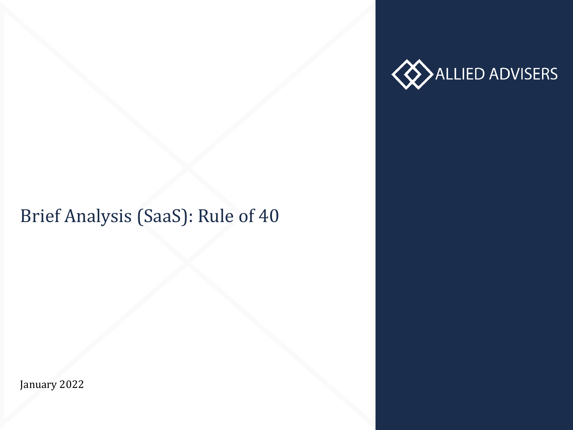

# Brief Analysis (SaaS): Rule of 40

January 2022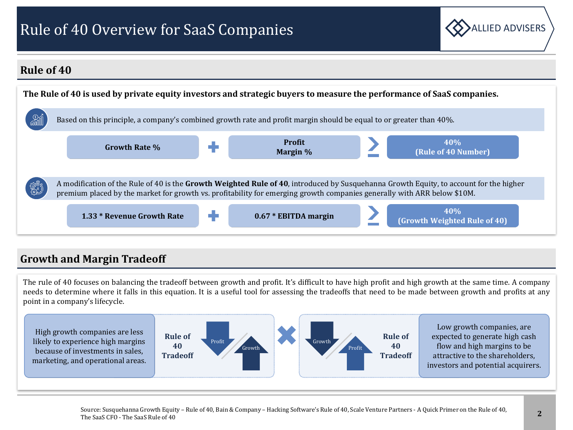## Rule of 40 Overview for SaaS Companies



#### **Rule of 40**



#### **Growth and Margin Tradeoff**

The rule of 40 focuses on balancing the tradeoff between growth and profit. It's difficult to have high profit and high growth at the same time. A company needs to determine where it falls in this equation. It is a useful tool for assessing the tradeoffs that need to be made between growth and profits at any point in a company's lifecycle.

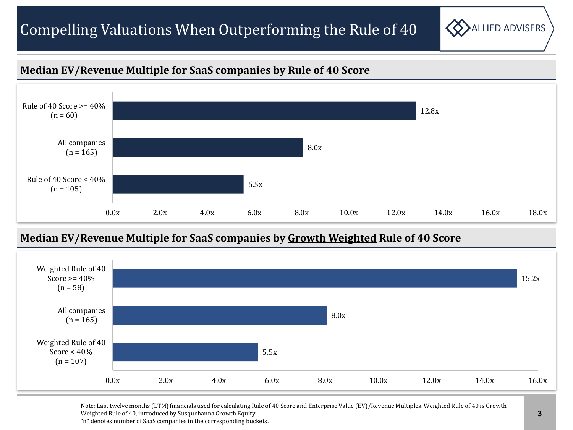## Compelling Valuations When Outperforming the Rule of  $40 \leq \sum_{\text{ALLED ADVISERS}}$



#### **Median EV/Revenue Multiple for SaaS companies by Rule of 40 Score**



#### **Median EV/Revenue Multiple for SaaS companies by Growth Weighted Rule of 40 Score**



Note: Last twelve months (LTM) financials used for calculating Rule of 40 Score and Enterprise Value (EV)/Revenue Multiples. Weighted Rule of 40 is Growth Weighted Rule of 40, introduced by Susquehanna Growth Equity.

"n" denotes number of SaaS companies in the corresponding buckets.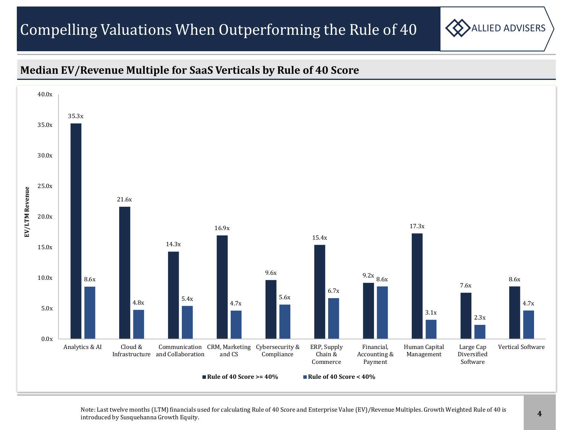## Compelling Valuations When Outperforming the Rule of  $40 \leq \sum_{\text{ALLED ADVISERS}}$



#### **Median EV/Revenue Multiple for SaaS Verticals by Rule of 40 Score**



Note: Last twelve months (LTM) financials used for calculating Rule of 40 Score and Enterprise Value (EV)/Revenue Multiples. Growth Weighted Rule of 40 is introduced by Susquehanna Growth Equity.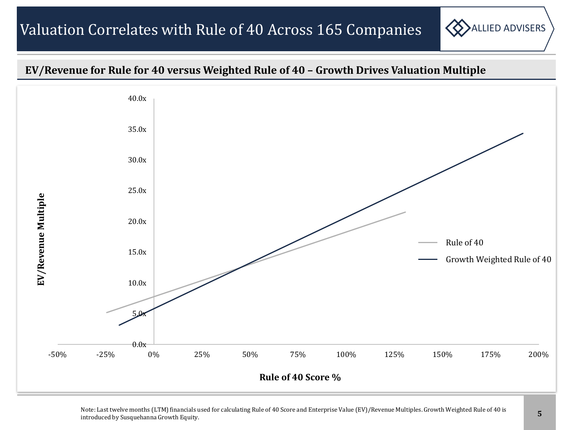



Note: Last twelve months (LTM) financials used for calculating Rule of 40 Score and Enterprise Value (EV)/Revenue Multiples. Growth Weighted Rule of 40 is introduced by Susquehanna Growth Equity.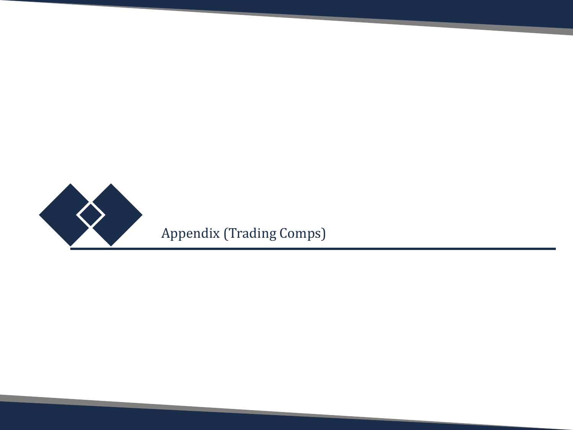

ALLIED ADVISERS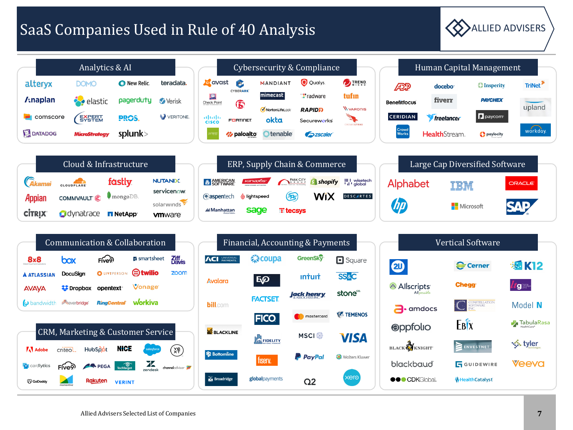### SaaS Companies Used in Rule of 40 Analysis Allied ADVISERS



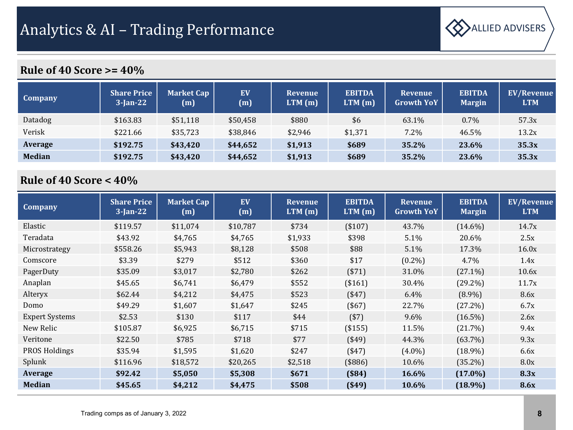

| Company       | <b>Share Price</b><br>$3$ -Jan-22 | <b>Market Cap</b><br>(m) | EV<br>(m) | <b>Revenue</b><br>LTM(m) | <b>EBITDA</b><br>LTM(m) | <b>Revenue</b><br><b>Growth YoY</b> | <b>EBITDA</b><br><b>Margin</b> | <b>EV/Revenue</b><br><b>LTM</b> |
|---------------|-----------------------------------|--------------------------|-----------|--------------------------|-------------------------|-------------------------------------|--------------------------------|---------------------------------|
| Datadog       | \$163.83                          | \$51,118                 | \$50,458  | \$880                    | \$6                     | 63.1%                               | $0.7\%$                        | 57.3x                           |
| Verisk        | \$221.66                          | \$35,723                 | \$38,846  | \$2,946                  | \$1,371                 | 7.2%                                | 46.5%                          | 13.2x                           |
| Average       | \$192.75                          | \$43,420                 | \$44,652  | \$1,913                  | \$689                   | 35.2%                               | 23.6%                          | 35.3x                           |
| <b>Median</b> | \$192.75                          | \$43,420                 | \$44,652  | \$1,913                  | \$689                   | 35.2%                               | 23.6%                          | 35.3x                           |

| <b>Company</b>        | <b>Share Price</b><br>$3$ -Jan-22 | <b>Market Cap</b><br>(m) | EV<br>(m) | <b>Revenue</b><br>LTM(m) | <b>EBITDA</b><br>LTM(m) | <b>Revenue</b><br><b>Growth YoY</b> | <b>EBITDA</b><br><b>Margin</b> | <b>EV/Revenue</b><br><b>LTM</b> |
|-----------------------|-----------------------------------|--------------------------|-----------|--------------------------|-------------------------|-------------------------------------|--------------------------------|---------------------------------|
| Elastic               | \$119.57                          | \$11,074                 | \$10,787  | \$734                    | (\$107)                 | 43.7%                               | $(14.6\%)$                     | 14.7x                           |
| Teradata              | \$43.92                           | \$4,765                  | \$4,765   | \$1,933                  | \$398                   | 5.1%                                | 20.6%                          | 2.5x                            |
| Microstrategy         | \$558.26                          | \$5,943                  | \$8,128   | \$508                    | \$88                    | 5.1%                                | 17.3%                          | 16.0x                           |
| Comscore              | \$3.39                            | \$279                    | \$512     | \$360                    | \$17                    | $(0.2\%)$                           | 4.7%                           | 1.4x                            |
| PagerDuty             | \$35.09                           | \$3,017                  | \$2,780   | \$262                    | ( \$71)                 | 31.0%                               | $(27.1\%)$                     | 10.6x                           |
| Anaplan               | \$45.65                           | \$6,741                  | \$6,479   | \$552                    | (\$161)                 | 30.4%                               | $(29.2\%)$                     | 11.7x                           |
| Alteryx               | \$62.44                           | \$4,212                  | \$4,475   | \$523                    | $($ \$47)               | 6.4%                                | $(8.9\%)$                      | 8.6x                            |
| Domo                  | \$49.29                           | \$1,607                  | \$1,647   | \$245                    | $($ \$67)               | 22.7%                               | (27.2%)                        | 6.7x                            |
| <b>Expert Systems</b> | \$2.53                            | \$130                    | \$117     | \$44                     | ( \$7)                  | $9.6\%$                             | $(16.5\%)$                     | 2.6x                            |
| New Relic             | \$105.87                          | \$6,925                  | \$6,715   | \$715                    | (\$155)                 | 11.5%                               | (21.7%)                        | 9.4x                            |
| Veritone              | \$22.50                           | \$785                    | \$718     | \$77                     | ( \$49]                 | 44.3%                               | $(63.7\%)$                     | 9.3x                            |
| <b>PROS Holdings</b>  | \$35.94                           | \$1,595                  | \$1,620   | \$247                    | ( \$47)                 | $(4.0\%)$                           | $(18.9\%)$                     | 6.6x                            |
| Splunk                | \$116.96                          | \$18,572                 | \$20,265  | \$2,518                  | $($ \$886)              | 10.6%                               | $(35.2\%)$                     | 8.0x                            |
| Average               | \$92.42                           | \$5,050                  | \$5,308   | \$671                    | $($ \$84)               | <b>16.6%</b>                        | $(17.0\%)$                     | 8.3x                            |
| <b>Median</b>         | \$45.65                           | \$4,212                  | \$4,475   | \$508                    | $($ \$49)               | 10.6%                               | $(18.9\%)$                     | <b>8.6x</b>                     |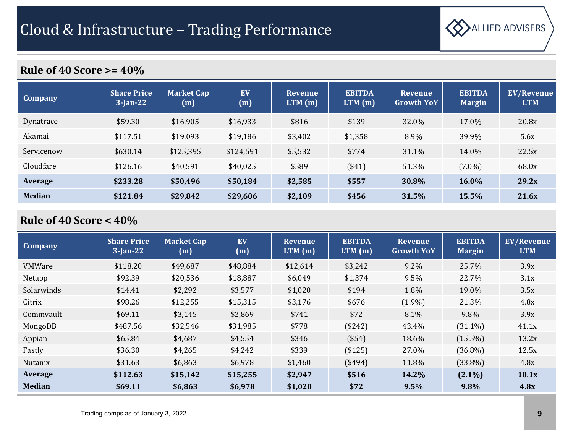

| <b>Company</b> | <b>Share Price</b><br>$3$ -Jan-22 | <b>Market Cap</b><br>(m) | <b>EV</b><br>(m) | <b>Revenue</b><br>$LTM$ (m) | <b>EBITDA</b><br>LTM(m) | <b>Revenue</b><br><b>Growth YoY</b> | <b>EBITDA</b><br><b>Margin</b> | <b>EV/Revenue</b><br><b>LTM</b> |
|----------------|-----------------------------------|--------------------------|------------------|-----------------------------|-------------------------|-------------------------------------|--------------------------------|---------------------------------|
| Dynatrace      | \$59.30                           | \$16,905                 | \$16,933         | \$816                       | \$139                   | 32.0%                               | 17.0%                          | 20.8x                           |
| Akamai         | \$117.51                          | \$19,093                 | \$19,186         | \$3,402                     | \$1,358                 | 8.9%                                | 39.9%                          | 5.6x                            |
| Servicenow     | \$630.14                          | \$125,395                | \$124,591        | \$5,532                     | \$774                   | 31.1%                               | 14.0%                          | 22.5x                           |
| Cloudfare      | \$126.16                          | \$40,591                 | \$40,025         | \$589                       | ( \$41)                 | 51.3%                               | $(7.0\%)$                      | 68.0x                           |
| Average        | \$233.28                          | \$50,496                 | \$50,184         | \$2,585                     | \$557                   | 30.8%                               | 16.0%                          | 29.2x                           |
| <b>Median</b>  | \$121.84                          | \$29,842                 | \$29,606         | \$2,109                     | \$456                   | 31.5%                               | 15.5%                          | 21.6x                           |

| <b>Company</b> | <b>Share Price</b><br>$3$ -Jan-22 | <b>Market Cap</b><br>(m) | EV<br>(m) | <b>Revenue</b><br>LTM(m) | <b>EBITDA</b><br>LTM(m) | <b>Revenue</b><br><b>Growth YoY</b> | <b>EBITDA</b><br><b>Margin</b> | <b>EV/Revenue</b><br><b>LTM</b> |
|----------------|-----------------------------------|--------------------------|-----------|--------------------------|-------------------------|-------------------------------------|--------------------------------|---------------------------------|
| <b>VMWare</b>  | \$118.20                          | \$49,687                 | \$48,884  | \$12,614                 | \$3,242                 | $9.2\%$                             | 25.7%                          | 3.9x                            |
| Netapp         | \$92.39                           | \$20,536                 | \$18,887  | \$6,049                  | \$1,374                 | 9.5%                                | 22.7%                          | 3.1x                            |
| Solarwinds     | \$14.41                           | \$2,292                  | \$3,577   | \$1,020                  | \$194                   | 1.8%                                | 19.0%                          | 3.5x                            |
| Citrix         | \$98.26                           | \$12,255                 | \$15,315  | \$3,176                  | \$676                   | $(1.9\%)$                           | 21.3%                          | 4.8x                            |
| Commvault      | \$69.11                           | \$3,145                  | \$2,869   | \$741                    | \$72                    | 8.1%                                | 9.8%                           | 3.9x                            |
| MongoDB        | \$487.56                          | \$32,546                 | \$31,985  | \$778                    | (\$242)                 | 43.4%                               | $(31.1\%)$                     | 41.1x                           |
| Appian         | \$65.84                           | \$4,687                  | \$4,554   | \$346                    | ( \$54)                 | 18.6%                               | $(15.5\%)$                     | 13.2x                           |
| Fastly         | \$36.30                           | \$4,265                  | \$4,242   | \$339                    | (\$125)                 | 27.0%                               | $(36.8\%)$                     | 12.5x                           |
| Nutanix        | \$31.63                           | \$6,863                  | \$6,978   | \$1,460                  | (\$494)                 | 11.8%                               | $(33.8\%)$                     | 4.8x                            |
| Average        | \$112.63                          | \$15,142                 | \$15,255  | \$2,947                  | \$516                   | 14.2%                               | $(2.1\%)$                      | 10.1x                           |
| <b>Median</b>  | \$69.11                           | \$6,863                  | \$6,978   | \$1,020                  | \$72                    | 9.5%                                | 9.8%                           | 4.8x                            |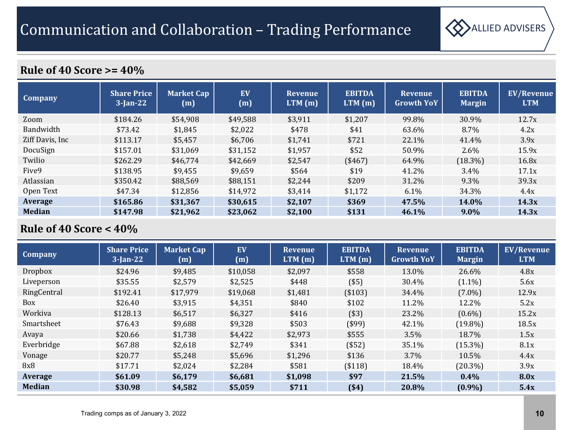

| <b>Company</b>    | <b>Share Price</b><br>$3$ -Jan-22 | <b>Market Cap</b><br>(m) | EV<br>(m) | <b>Revenue</b><br>LTM(m) | <b>EBITDA</b><br>LTM(m) | <b>Revenue</b><br><b>Growth YoY</b> | <b>EBITDA</b><br><b>Margin</b> | <b>EV/Revenue</b><br><b>LTM</b> |
|-------------------|-----------------------------------|--------------------------|-----------|--------------------------|-------------------------|-------------------------------------|--------------------------------|---------------------------------|
| Zoom              | \$184.26                          | \$54,908                 | \$49,588  | \$3,911                  | \$1,207                 | 99.8%                               | 30.9%                          | 12.7x                           |
| Bandwidth         | \$73.42                           | \$1,845                  | \$2,022   | \$478                    | \$41                    | 63.6%                               | 8.7%                           | 4.2x                            |
| Ziff Davis, Inc.  | \$113.17                          | \$5,457                  | \$6,706   | \$1,741                  | \$721                   | 22.1%                               | 41.4%                          | 3.9x                            |
| DocuSign          | \$157.01                          | \$31,069                 | \$31,152  | \$1,957                  | \$52                    | 50.9%                               | $2.6\%$                        | 15.9x                           |
| Twilio            | \$262.29                          | \$46,774                 | \$42,669  | \$2,547                  | (\$467)                 | 64.9%                               | $(18.3\%)$                     | 16.8x                           |
| Five <sub>9</sub> | \$138.95                          | \$9,455                  | \$9,659   | \$564                    | \$19                    | 41.2%                               | $3.4\%$                        | 17.1x                           |
| Atlassian         | \$350.42                          | \$88,569                 | \$88,151  | \$2,244                  | \$209                   | 31.2%                               | 9.3%                           | 39.3x                           |
| Open Text         | \$47.34                           | \$12,856                 | \$14,972  | \$3,414                  | \$1,172                 | $6.1\%$                             | 34.3%                          | 4.4x                            |
| Average           | \$165.86                          | \$31.367                 | \$30.615  | \$2.107                  | \$369                   | 47.5%                               | 14.0%                          | 14.3x                           |
| <b>Median</b>     | \$147.98                          | \$21,962                 | \$23,062  | \$2,100                  | \$131                   | 46.1%                               | $9.0\%$                        | 14.3x                           |

| <b>Company</b> | <b>Share Price</b><br>$3$ -Jan-22 | <b>Market Cap</b><br>(m) | EV<br>(m) | <b>Revenue</b><br>LTM(m) | <b>EBITDA</b><br>LTM(m) | <b>Revenue</b><br><b>Growth YoY</b> | <b>EBITDA</b><br><b>Margin</b> | <b>EV/Revenue</b><br><b>LTM</b> |
|----------------|-----------------------------------|--------------------------|-----------|--------------------------|-------------------------|-------------------------------------|--------------------------------|---------------------------------|
| <b>Dropbox</b> | \$24.96                           | \$9,485                  | \$10,058  | \$2,097                  | \$558                   | 13.0%                               | 26.6%                          | 4.8x                            |
| Liveperson     | \$35.55                           | \$2,579                  | \$2,525   | \$448                    | $($ \$5)                | 30.4%                               | $(1.1\%)$                      | 5.6x                            |
| RingCentral    | \$192.41                          | \$17,979                 | \$19,068  | \$1,481                  | (\$103)                 | 34.4%                               | $(7.0\%)$                      | 12.9x                           |
| <b>Box</b>     | \$26.40                           | \$3,915                  | \$4,351   | \$840                    | \$102                   | 11.2%                               | 12.2%                          | 5.2x                            |
| Workiva        | \$128.13                          | \$6,517                  | \$6,327   | \$416                    | ( \$3]                  | 23.2%                               | $(0.6\%)$                      | 15.2x                           |
| Smartsheet     | \$76.43                           | \$9,688                  | \$9,328   | \$503                    | $($ \$99)               | 42.1%                               | $(19.8\%)$                     | 18.5x                           |
| Avaya          | \$20.66                           | \$1,738                  | \$4,422   | \$2,973                  | \$555                   | $3.5\%$                             | 18.7%                          | 1.5x                            |
| Everbridge     | \$67.88                           | \$2,618                  | \$2,749   | \$341                    | ( \$52)                 | 35.1%                               | $(15.3\%)$                     | 8.1x                            |
| Vonage         | \$20.77                           | \$5,248                  | \$5,696   | \$1,296                  | \$136                   | $3.7\%$                             | 10.5%                          | 4.4x                            |
| 8x8            | \$17.71                           | \$2,024                  | \$2,284   | \$581                    | (\$118)                 | 18.4%                               | $(20.3\%)$                     | 3.9x                            |
| Average        | \$61.09                           | \$6,179                  | \$6,681   | \$1,098                  | \$97                    | 21.5%                               | $0.4\%$                        | 8.0x                            |
| <b>Median</b>  | \$30.98                           | \$4,582                  | \$5,059   | \$711                    | ( \$4)                  | 20.8%                               | $(0.9\%)$                      | 5.4x                            |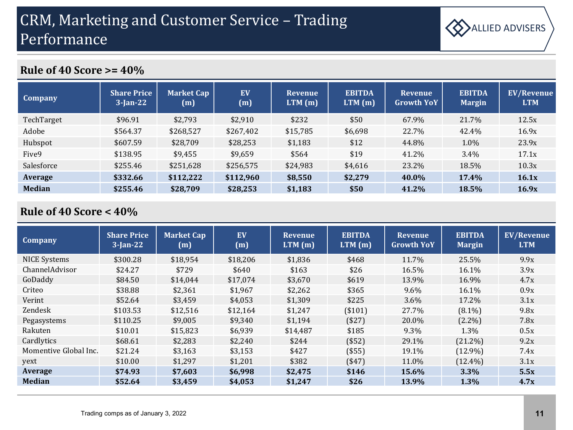

| <b>Company</b>    | <b>Share Price</b><br>$3$ -Jan-22 | <b>Market Cap</b><br>(m) | EV<br>(m) | <b>Revenue</b><br>LTM(m) | <b>EBITDA</b><br>LTM(m) | <b>Revenue</b><br><b>Growth YoY</b> | <b>EBITDA</b><br><b>Margin</b> | <b>EV/Revenue</b><br><b>LTM</b> |
|-------------------|-----------------------------------|--------------------------|-----------|--------------------------|-------------------------|-------------------------------------|--------------------------------|---------------------------------|
| TechTarget        | \$96.91                           | \$2,793                  | \$2,910   | \$232                    | \$50                    | 67.9%                               | 21.7%                          | 12.5x                           |
| Adobe             | \$564.37                          | \$268,527                | \$267,402 | \$15,785                 | \$6,698                 | 22.7%                               | 42.4%                          | 16.9x                           |
| Hubspot           | \$607.59                          | \$28,709                 | \$28,253  | \$1,183                  | \$12                    | 44.8%                               | 1.0%                           | 23.9x                           |
| Five <sub>9</sub> | \$138.95                          | \$9,455                  | \$9,659   | \$564                    | \$19                    | 41.2%                               | 3.4%                           | 17.1x                           |
| Salesforce        | \$255.46                          | \$251,628                | \$256,575 | \$24,983                 | \$4,616                 | 23.2%                               | 18.5%                          | 10.3x                           |
| Average           | \$332.66                          | \$112,222                | \$112,960 | \$8,550                  | \$2,279                 | 40.0%                               | 17.4%                          | 16.1x                           |
| <b>Median</b>     | \$255.46                          | \$28,709                 | \$28,253  | \$1,183                  | \$50                    | 41.2%                               | 18.5%                          | 16.9x                           |

| <b>Company</b>        | <b>Share Price</b><br>$3$ -Jan-22 | <b>Market Cap</b><br>(m) | EV<br>(m) | <b>Revenue</b><br>LTM(m) | <b>EBITDA</b><br>LTM(m) | <b>Revenue</b><br><b>Growth YoY</b> | <b>EBITDA</b><br><b>Margin</b> | <b>EV/Revenue</b><br><b>LTM</b> |
|-----------------------|-----------------------------------|--------------------------|-----------|--------------------------|-------------------------|-------------------------------------|--------------------------------|---------------------------------|
| <b>NICE Systems</b>   | \$300.28                          | \$18,954                 | \$18,206  | \$1,836                  | \$468                   | 11.7%                               | 25.5%                          | 9.9x                            |
| ChannelAdvisor        | \$24.27                           | \$729                    | \$640     | \$163                    | \$26                    | 16.5%                               | 16.1%                          | 3.9x                            |
| GoDaddy               | \$84.50                           | \$14,044                 | \$17,074  | \$3,670                  | \$619                   | 13.9%                               | 16.9%                          | 4.7x                            |
| Criteo                | \$38.88                           | \$2,361                  | \$1,967   | \$2,262                  | \$365                   | $9.6\%$                             | 16.1%                          | 0.9x                            |
| Verint                | \$52.64                           | \$3,459                  | \$4,053   | \$1,309                  | \$225                   | 3.6%                                | 17.2%                          | 3.1x                            |
| Zendesk               | \$103.53                          | \$12,516                 | \$12,164  | \$1,247                  | (\$101)                 | 27.7%                               | $(8.1\%)$                      | 9.8x                            |
| Pegasystems           | \$110.25                          | \$9,005                  | \$9,340   | \$1,194                  | ( \$27)                 | 20.0%                               | $(2.2\%)$                      | 7.8x                            |
| Rakuten               | \$10.01                           | \$15,823                 | \$6,939   | \$14,487                 | \$185                   | $9.3\%$                             | 1.3%                           | 0.5x                            |
| Cardlytics            | \$68.61                           | \$2,283                  | \$2,240   | \$244                    | (\$52)                  | 29.1%                               | $(21.2\%)$                     | 9.2x                            |
| Momentive Global Inc. | \$21.24                           | \$3,163                  | \$3,153   | \$427                    | (\$55)                  | 19.1%                               | $(12.9\%)$                     | 7.4x                            |
| yext                  | \$10.00                           | \$1,297                  | \$1,201   | \$382                    | ( \$47)                 | 11.0%                               | $(12.4\%)$                     | 3.1x                            |
| Average               | \$74.93                           | \$7,603                  | \$6,998   | \$2,475                  | \$146                   | 15.6%                               | $3.3\%$                        | 5.5x                            |
| <b>Median</b>         | \$52.64                           | \$3,459                  | \$4,053   | \$1,247                  | \$26                    | 13.9%                               | $1.3\%$                        | 4.7x                            |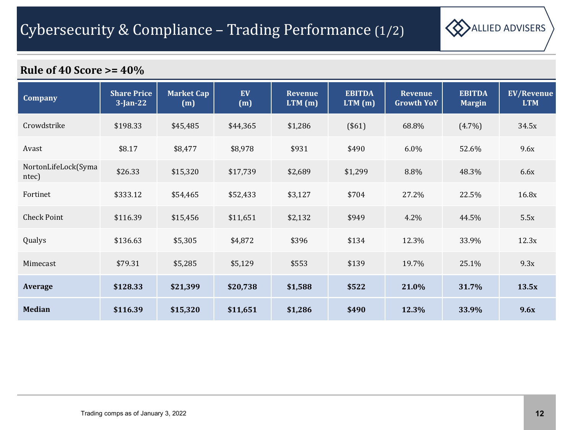

| <b>Company</b>               | <b>Share Price</b><br>$3$ -Jan-22 | <b>Market Cap</b><br>(m) | <b>EV</b><br>(m) | <b>Revenue</b><br>$LTM$ (m) | <b>EBITDA</b><br>$LTM$ (m) | Revenue<br><b>Growth YoY</b> | <b>EBITDA</b><br><b>Margin</b> | <b>EV/Revenue</b><br><b>LTM</b> |
|------------------------------|-----------------------------------|--------------------------|------------------|-----------------------------|----------------------------|------------------------------|--------------------------------|---------------------------------|
| Crowdstrike                  | \$198.33                          | \$45,485                 | \$44,365         | \$1,286                     | (\$61)                     | 68.8%                        | $(4.7\%)$                      | 34.5x                           |
| Avast                        | \$8.17                            | \$8,477                  | \$8,978          | \$931                       | \$490                      | 6.0%                         | 52.6%                          | 9.6x                            |
| NortonLifeLock(Syma<br>ntec) | \$26.33                           | \$15,320                 | \$17,739         | \$2,689                     | \$1,299                    | 8.8%                         | 48.3%                          | 6.6x                            |
| Fortinet                     | \$333.12                          | \$54,465                 | \$52,433         | \$3,127                     | \$704                      | 27.2%                        | 22.5%                          | 16.8x                           |
| <b>Check Point</b>           | \$116.39                          | \$15,456                 | \$11,651         | \$2,132                     | \$949                      | 4.2%                         | 44.5%                          | 5.5x                            |
| Qualys                       | \$136.63                          | \$5,305                  | \$4,872          | \$396                       | \$134                      | 12.3%                        | 33.9%                          | 12.3x                           |
| Mimecast                     | \$79.31                           | \$5,285                  | \$5,129          | \$553                       | \$139                      | 19.7%                        | 25.1%                          | 9.3x                            |
| <b>Average</b>               | \$128.33                          | \$21,399                 | \$20,738         | \$1,588                     | \$522                      | 21.0%                        | 31.7%                          | 13.5x                           |
| <b>Median</b>                | \$116.39                          | \$15,320                 | \$11,651         | \$1,286                     | \$490                      | 12.3%                        | 33.9%                          | 9.6x                            |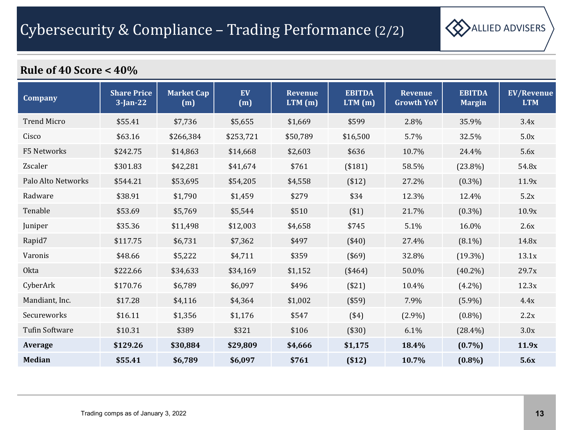

| Company               | <b>Share Price</b><br>$3$ -Jan-22 | <b>Market Cap</b><br>(m) | EV<br>(m) | <b>Revenue</b><br>$LTM$ (m) | <b>EBITDA</b><br>$LTM$ (m) | <b>Revenue</b><br><b>Growth YoY</b> | <b>EBITDA</b><br><b>Margin</b> | <b>EV/Revenue</b><br><b>LTM</b> |
|-----------------------|-----------------------------------|--------------------------|-----------|-----------------------------|----------------------------|-------------------------------------|--------------------------------|---------------------------------|
| <b>Trend Micro</b>    | \$55.41                           | \$7,736                  | \$5,655   | \$1,669                     | \$599                      | 2.8%                                | 35.9%                          | 3.4x                            |
| Cisco                 | \$63.16                           | \$266,384                | \$253,721 | \$50,789                    | \$16,500                   | 5.7%                                | 32.5%                          | 5.0x                            |
| F5 Networks           | \$242.75                          | \$14,863                 | \$14,668  | \$2,603                     | \$636                      | 10.7%                               | 24.4%                          | 5.6x                            |
| Zscaler               | \$301.83                          | \$42,281                 | \$41,674  | \$761                       | (\$181)                    | 58.5%                               | $(23.8\%)$                     | 54.8x                           |
| Palo Alto Networks    | \$544.21                          | \$53,695                 | \$54,205  | \$4,558                     | ( \$12)                    | 27.2%                               | $(0.3\%)$                      | 11.9x                           |
| Radware               | \$38.91                           | \$1,790                  | \$1,459   | \$279                       | \$34                       | 12.3%                               | 12.4%                          | 5.2x                            |
| Tenable               | \$53.69                           | \$5,769                  | \$5,544   | \$510                       | $(*1)$                     | 21.7%                               | $(0.3\%)$                      | 10.9x                           |
| Juniper               | \$35.36                           | \$11,498                 | \$12,003  | \$4,658                     | \$745                      | 5.1%                                | 16.0%                          | 2.6x                            |
| Rapid7                | \$117.75                          | \$6,731                  | \$7,362   | \$497                       | $(*40)$                    | 27.4%                               | $(8.1\%)$                      | 14.8x                           |
| Varonis               | \$48.66                           | \$5,222                  | \$4,711   | \$359                       | (\$69)                     | 32.8%                               | $(19.3\%)$                     | 13.1x                           |
| Okta                  | \$222.66                          | \$34,633                 | \$34,169  | \$1,152                     | (\$464)                    | 50.0%                               | $(40.2\%)$                     | 29.7x                           |
| CyberArk              | \$170.76                          | \$6,789                  | \$6,097   | \$496                       | (\$21)                     | 10.4%                               | $(4.2\%)$                      | 12.3x                           |
| Mandiant, Inc.        | \$17.28                           | \$4,116                  | \$4,364   | \$1,002                     | (\$59)                     | 7.9%                                | $(5.9\%)$                      | 4.4x                            |
| Secureworks           | \$16.11                           | \$1,356                  | \$1,176   | \$547                       | $(*4)$                     | $(2.9\%)$                           | $(0.8\%)$                      | 2.2x                            |
| <b>Tufin Software</b> | \$10.31                           | \$389                    | \$321     | \$106                       | $(*30)$                    | 6.1%                                | $(28.4\%)$                     | 3.0x                            |
| Average               | \$129.26                          | \$30,884                 | \$29,809  | \$4,666                     | \$1,175                    | 18.4%                               | $(0.7\%)$                      | 11.9x                           |
| <b>Median</b>         | \$55.41                           | \$6,789                  | \$6,097   | \$761                       | ( \$12)                    | 10.7%                               | $(0.8\%)$                      | 5.6x                            |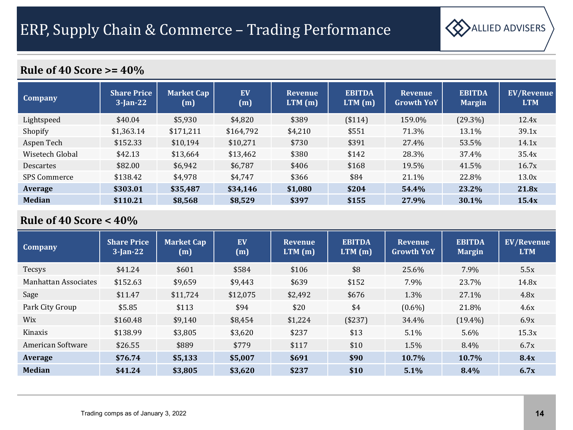

| <b>Company</b>      | <b>Share Price</b><br>$3$ -Jan-22 | <b>Market Cap</b><br>(m) | EV<br>(m) | <b>Revenue</b><br>LTM(m) | <b>EBITDA</b><br>LTM(m) | <b>Revenue</b><br><b>Growth YoY</b> | <b>EBITDA</b><br><b>Margin</b> | <b>EV/Revenue</b><br><b>LTM</b> |
|---------------------|-----------------------------------|--------------------------|-----------|--------------------------|-------------------------|-------------------------------------|--------------------------------|---------------------------------|
| Lightspeed          | \$40.04                           | \$5,930                  | \$4,820   | \$389                    | (\$114)                 | 159.0%                              | $(29.3\%)$                     | 12.4x                           |
| Shopify             | \$1,363.14                        | \$171,211                | \$164,792 | \$4,210                  | \$551                   | 71.3%                               | 13.1%                          | 39.1x                           |
| Aspen Tech          | \$152.33                          | \$10,194                 | \$10,271  | \$730                    | \$391                   | 27.4%                               | 53.5%                          | 14.1x                           |
| Wisetech Global     | \$42.13                           | \$13,664                 | \$13,462  | \$380                    | \$142                   | 28.3%                               | 37.4%                          | 35.4x                           |
| <b>Descartes</b>    | \$82.00                           | \$6,942                  | \$6,787   | \$406                    | \$168                   | 19.5%                               | 41.5%                          | 16.7x                           |
| <b>SPS Commerce</b> | \$138.42                          | \$4,978                  | \$4,747   | \$366                    | \$84                    | 21.1%                               | 22.8%                          | 13.0x                           |
| Average             | \$303.01                          | \$35,487                 | \$34,146  | \$1,080                  | \$204                   | 54.4%                               | 23.2%                          | 21.8x                           |
| <b>Median</b>       | \$110.21                          | \$8,568                  | \$8,529   | \$397                    | \$155                   | 27.9%                               | 30.1%                          | 15.4x                           |

| <b>Company</b>       | <b>Share Price</b><br>$3$ -Jan-22 | <b>Market Cap</b><br>(m) | EV<br>(m) | <b>Revenue</b><br>LTM(m) | <b>EBITDA</b><br>LTM(m) | <b>Revenue</b><br><b>Growth YoY</b> | <b>EBITDA</b><br>Margin | <b>EV/Revenue</b><br><b>LTM</b> |
|----------------------|-----------------------------------|--------------------------|-----------|--------------------------|-------------------------|-------------------------------------|-------------------------|---------------------------------|
| Tecsys               | \$41.24                           | \$601                    | \$584     | \$106                    | \$8                     | 25.6%                               | 7.9%                    | 5.5x                            |
| Manhattan Associates | \$152.63                          | \$9,659                  | \$9,443   | \$639                    | \$152                   | 7.9%                                | 23.7%                   | 14.8x                           |
| Sage                 | \$11.47                           | \$11,724                 | \$12,075  | \$2,492                  | \$676                   | 1.3%                                | 27.1%                   | 4.8x                            |
| Park City Group      | \$5.85                            | \$113                    | \$94      | \$20                     | \$4                     | $(0.6\%)$                           | 21.8%                   | 4.6x                            |
| <b>Wix</b>           | \$160.48                          | \$9,140                  | \$8,454   | \$1,224                  | (\$237)                 | 34.4%                               | $(19.4\%)$              | 6.9x                            |
| Kinaxis              | \$138.99                          | \$3,805                  | \$3,620   | \$237                    | \$13                    | $5.1\%$                             | $5.6\%$                 | 15.3x                           |
| American Software    | \$26.55                           | \$889                    | \$779     | \$117                    | \$10                    | 1.5%                                | 8.4%                    | 6.7x                            |
| Average              | \$76.74                           | \$5,133                  | \$5,007   | \$691                    | \$90                    | 10.7%                               | 10.7%                   | <b>8.4x</b>                     |
| <b>Median</b>        | \$41.24                           | \$3,805                  | \$3,620   | \$237                    | \$10                    | 5.1%                                | $8.4\%$                 | 6.7x                            |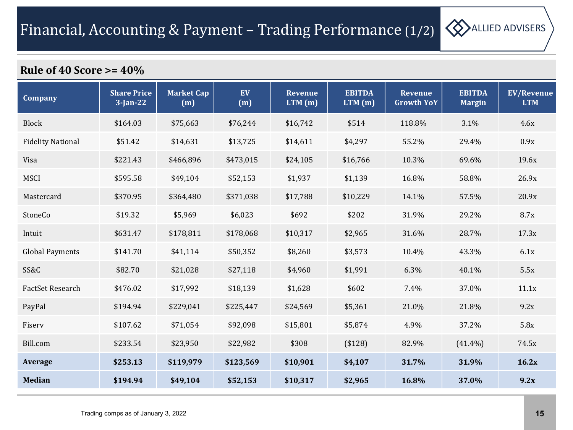

| <b>Company</b>           | <b>Share Price</b><br>$3$ -Jan-22 | <b>Market Cap</b><br>(m) | EV<br>(m) | <b>Revenue</b><br>$LTM$ (m) | <b>EBITDA</b><br>LTM(m) | <b>Revenue</b><br><b>Growth YoY</b> | <b>EBITDA</b><br><b>Margin</b> | <b>EV/Revenue</b><br><b>LTM</b> |
|--------------------------|-----------------------------------|--------------------------|-----------|-----------------------------|-------------------------|-------------------------------------|--------------------------------|---------------------------------|
| <b>Block</b>             | \$164.03                          | \$75,663                 | \$76,244  | \$16,742                    | \$514                   | 118.8%                              | 3.1%                           | 4.6x                            |
| <b>Fidelity National</b> | \$51.42                           | \$14,631                 | \$13,725  | \$14,611                    | \$4,297                 | 55.2%                               | 29.4%                          | 0.9x                            |
| Visa                     | \$221.43                          | \$466,896                | \$473,015 | \$24,105                    | \$16,766                | 10.3%                               | 69.6%                          | 19.6x                           |
| <b>MSCI</b>              | \$595.58                          | \$49,104                 | \$52,153  | \$1,937                     | \$1,139                 | 16.8%                               | 58.8%                          | 26.9x                           |
| Mastercard               | \$370.95                          | \$364,480                | \$371,038 | \$17,788                    | \$10,229                | 14.1%                               | 57.5%                          | 20.9x                           |
| StoneCo                  | \$19.32                           | \$5,969                  | \$6,023   | \$692                       | \$202                   | 31.9%                               | 29.2%                          | 8.7x                            |
| Intuit                   | \$631.47                          | \$178,811                | \$178,068 | \$10,317                    | \$2,965                 | 31.6%                               | 28.7%                          | 17.3x                           |
| <b>Global Payments</b>   | \$141.70                          | \$41,114                 | \$50,352  | \$8,260                     | \$3,573                 | 10.4%                               | 43.3%                          | 6.1x                            |
| SS&C                     | \$82.70                           | \$21,028                 | \$27,118  | \$4,960                     | \$1,991                 | 6.3%                                | 40.1%                          | 5.5x                            |
| FactSet Research         | \$476.02                          | \$17,992                 | \$18,139  | \$1,628                     | \$602                   | 7.4%                                | 37.0%                          | 11.1x                           |
| PayPal                   | \$194.94                          | \$229,041                | \$225,447 | \$24,569                    | \$5,361                 | 21.0%                               | 21.8%                          | 9.2x                            |
| Fiserv                   | \$107.62                          | \$71,054                 | \$92,098  | \$15,801                    | \$5,874                 | 4.9%                                | 37.2%                          | 5.8x                            |
| Bill.com                 | \$233.54                          | \$23,950                 | \$22,982  | \$308                       | (\$128)                 | 82.9%                               | $(41.4\%)$                     | 74.5x                           |
| Average                  | \$253.13                          | \$119,979                | \$123,569 | \$10,901                    | \$4,107                 | 31.7%                               | 31.9%                          | 16.2x                           |
| <b>Median</b>            | \$194.94                          | \$49,104                 | \$52,153  | \$10,317                    | \$2,965                 | 16.8%                               | 37.0%                          | 9.2x                            |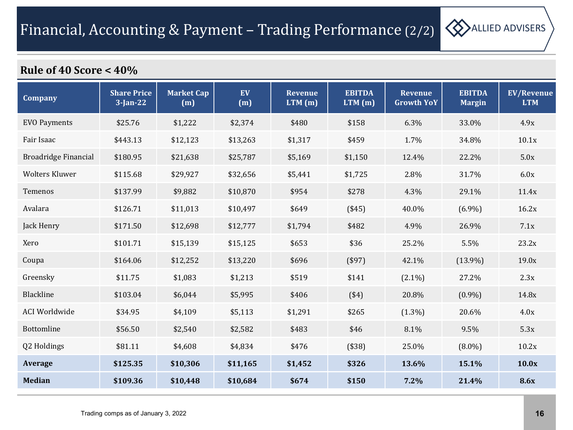

| <b>Company</b>        | <b>Share Price</b><br>$3$ -Jan-22 | <b>Market Cap</b><br>(m) | EV<br>(m) | <b>Revenue</b><br>$LTM$ (m) | <b>EBITDA</b><br>LTM(m) | <b>Revenue</b><br><b>Growth YoY</b> | <b>EBITDA</b><br><b>Margin</b> | <b>EV/Revenue</b><br><b>LTM</b> |
|-----------------------|-----------------------------------|--------------------------|-----------|-----------------------------|-------------------------|-------------------------------------|--------------------------------|---------------------------------|
| <b>EVO Payments</b>   | \$25.76                           | \$1,222                  | \$2,374   | \$480                       | \$158                   | 6.3%                                | 33.0%                          | 4.9x                            |
| Fair Isaac            | \$443.13                          | \$12,123                 | \$13,263  | \$1,317                     | \$459                   | 1.7%                                | 34.8%                          | 10.1x                           |
| Broadridge Financial  | \$180.95                          | \$21,638                 | \$25,787  | \$5,169                     | \$1,150                 | 12.4%                               | 22.2%                          | 5.0x                            |
| <b>Wolters Kluwer</b> | \$115.68                          | \$29,927                 | \$32,656  | \$5,441                     | \$1,725                 | 2.8%                                | 31.7%                          | 6.0x                            |
| Temenos               | \$137.99                          | \$9,882                  | \$10,870  | \$954                       | \$278                   | 4.3%                                | 29.1%                          | 11.4x                           |
| Avalara               | \$126.71                          | \$11,013                 | \$10,497  | \$649                       | $(*45)$                 | 40.0%                               | $(6.9\%)$                      | 16.2x                           |
| Jack Henry            | \$171.50                          | \$12,698                 | \$12,777  | \$1,794                     | \$482                   | 4.9%                                | 26.9%                          | 7.1x                            |
| Xero                  | \$101.71                          | \$15,139                 | \$15,125  | \$653                       | \$36                    | 25.2%                               | 5.5%                           | 23.2x                           |
| Coupa                 | \$164.06                          | \$12,252                 | \$13,220  | \$696                       | (\$97)                  | 42.1%                               | $(13.9\%)$                     | 19.0x                           |
| Greensky              | \$11.75                           | \$1,083                  | \$1,213   | \$519                       | \$141                   | $(2.1\%)$                           | 27.2%                          | 2.3x                            |
| Blackline             | \$103.04                          | \$6,044                  | \$5,995   | \$406                       | ( \$4)                  | 20.8%                               | $(0.9\%)$                      | 14.8x                           |
| <b>ACI Worldwide</b>  | \$34.95                           | \$4,109                  | \$5,113   | \$1,291                     | \$265                   | $(1.3\%)$                           | 20.6%                          | 4.0x                            |
| Bottomline            | \$56.50                           | \$2,540                  | \$2,582   | \$483                       | \$46                    | 8.1%                                | 9.5%                           | 5.3x                            |
| Q2 Holdings           | \$81.11                           | \$4,608                  | \$4,834   | \$476                       | (\$38)                  | 25.0%                               | $(8.0\%)$                      | 10.2x                           |
| <b>Average</b>        | \$125.35                          | \$10,306                 | \$11,165  | \$1,452                     | \$326                   | 13.6%                               | 15.1%                          | 10.0x                           |
| <b>Median</b>         | \$109.36                          | \$10,448                 | \$10,684  | \$674                       | \$150                   | 7.2%                                | 21.4%                          | <b>8.6x</b>                     |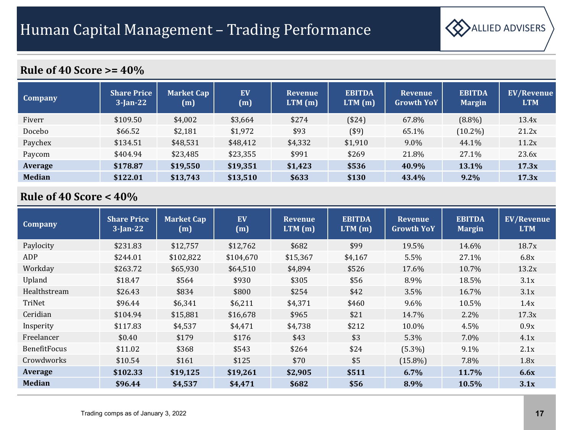

| <b>Company</b> | <b>Share Price</b><br>$3$ -Jan-22 | <b>Market Cap</b><br>(m) | EV<br>(m) | <b>Revenue</b><br>LTM(m) | <b>EBITDA</b><br>LTM(m) | <b>Revenue</b><br><b>Growth YoY</b> | <b>EBITDA</b><br><b>Margin</b> | <b>EV/Revenue</b><br><b>LTM</b> |
|----------------|-----------------------------------|--------------------------|-----------|--------------------------|-------------------------|-------------------------------------|--------------------------------|---------------------------------|
| Fiverr         | \$109.50                          | \$4,002                  | \$3,664   | \$274                    | ( \$24)                 | 67.8%                               | $(8.8\%)$                      | 13.4x                           |
| Docebo         | \$66.52                           | \$2,181                  | \$1,972   | \$93                     | $($ \$9)                | 65.1%                               | $(10.2\%)$                     | 21.2x                           |
| Paychex        | \$134.51                          | \$48,531                 | \$48,412  | \$4,332                  | \$1,910                 | $9.0\%$                             | 44.1%                          | 11.2x                           |
| Paycom         | \$404.94                          | \$23,485                 | \$23,355  | \$991                    | \$269                   | 21.8%                               | 27.1%                          | 23.6x                           |
| Average        | \$178.87                          | \$19,550                 | \$19,351  | \$1,423                  | \$536                   | 40.9%                               | <b>13.1%</b>                   | 17.3x                           |
| <b>Median</b>  | \$122.01                          | \$13,743                 | \$13,510  | \$633                    | \$130                   | 43.4%                               | 9.2%                           | 17.3x                           |

| <b>Company</b>      | <b>Share Price</b><br>$3$ -Jan-22 | <b>Market Cap</b><br>(m) | EV<br>(m) | <b>Revenue</b><br>LTM(m) | <b>EBITDA</b><br>LTM(m) | <b>Revenue</b><br><b>Growth YoY</b> | <b>EBITDA</b><br><b>Margin</b> | <b>EV/Revenue</b><br><b>LTM</b> |
|---------------------|-----------------------------------|--------------------------|-----------|--------------------------|-------------------------|-------------------------------------|--------------------------------|---------------------------------|
| Paylocity           | \$231.83                          | \$12,757                 | \$12,762  | \$682                    | \$99                    | 19.5%                               | 14.6%                          | 18.7x                           |
| ADP                 | \$244.01                          | \$102,822                | \$104,670 | \$15,367                 | \$4,167                 | 5.5%                                | 27.1%                          | 6.8x                            |
| Workday             | \$263.72                          | \$65,930                 | \$64,510  | \$4,894                  | \$526                   | 17.6%                               | 10.7%                          | 13.2x                           |
| Upland              | \$18.47                           | \$564                    | \$930     | \$305                    | \$56                    | 8.9%                                | 18.5%                          | 3.1x                            |
| Healthstream        | \$26.43                           | \$834                    | \$800     | \$254                    | \$42                    | 3.5%                                | 16.7%                          | 3.1x                            |
| TriNet              | \$96.44                           | \$6,341                  | \$6,211   | \$4,371                  | \$460                   | $9.6\%$                             | 10.5%                          | 1.4x                            |
| Ceridian            | \$104.94                          | \$15,881                 | \$16,678  | \$965                    | \$21                    | 14.7%                               | 2.2%                           | 17.3x                           |
| Insperity           | \$117.83                          | \$4,537                  | \$4,471   | \$4,738                  | \$212                   | 10.0%                               | 4.5%                           | 0.9x                            |
| Freelancer          | \$0.40                            | \$179                    | \$176     | \$43                     | \$3                     | 5.3%                                | 7.0%                           | 4.1x                            |
| <b>BenefitFocus</b> | \$11.02                           | \$368                    | \$543     | \$264                    | \$24                    | $(5.3\%)$                           | $9.1\%$                        | 2.1x                            |
| Crowdworks          | \$10.54                           | \$161                    | \$125     | \$70                     | \$5                     | $(15.8\%)$                          | 7.8%                           | 1.8x                            |
| Average             | \$102.33                          | \$19,125                 | \$19,261  | \$2,905                  | \$511                   | 6.7%                                | 11.7%                          | 6.6x                            |
| <b>Median</b>       | \$96.44                           | \$4,537                  | \$4,471   | \$682                    | \$56                    | 8.9%                                | 10.5%                          | 3.1x                            |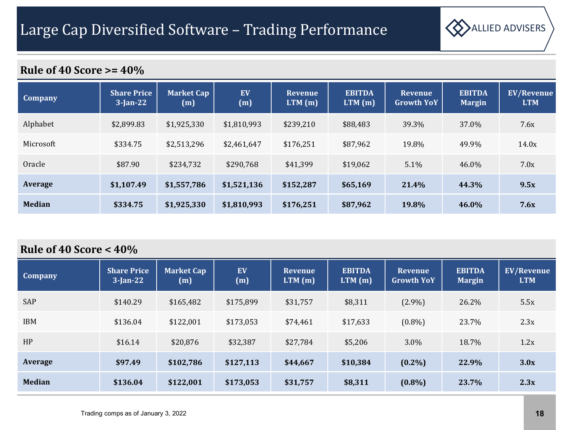

| Company       | <b>Share Price</b><br>$3$ -Jan-22 | Market Cap<br>(m) | EV<br>(m)   | <b>Revenue</b><br>LTM(m) | <b>EBITDA</b><br>LTM(m) | <b>Revenue</b><br><b>Growth YoY</b> | <b>EBITDA</b><br><b>Margin</b> | <b>EV/Revenue</b><br><b>LTM</b> |
|---------------|-----------------------------------|-------------------|-------------|--------------------------|-------------------------|-------------------------------------|--------------------------------|---------------------------------|
| Alphabet      | \$2,899.83                        | \$1,925,330       | \$1,810,993 | \$239,210                | \$88,483                | 39.3%                               | 37.0%                          | 7.6x                            |
| Microsoft     | \$334.75                          | \$2,513,296       | \$2,461,647 | \$176,251                | \$87,962                | 19.8%                               | 49.9%                          | 14.0x                           |
| Oracle        | \$87.90                           | \$234,732         | \$290,768   | \$41,399                 | \$19,062                | 5.1%                                | 46.0%                          | 7.0x                            |
| Average       | \$1,107.49                        | \$1,557,786       | \$1,521,136 | \$152,287                | \$65,169                | 21.4%                               | 44.3%                          | 9.5x                            |
| <b>Median</b> | \$334.75                          | \$1,925,330       | \$1,810,993 | \$176,251                | \$87,962                | 19.8%                               | 46.0%                          | 7.6x                            |

| <b>Company</b> | <b>Share Price</b><br>$3$ -Jan-22 | <b>Market Cap</b><br>(m) | EV<br>(m) | <b>Revenue</b><br>LTM(m) | <b>EBITDA</b><br>LTM(m) | <b>Revenue</b><br><b>Growth YoY</b> | <b>EBITDA</b><br><b>Margin</b> | <b>EV/Revenue</b><br><b>LTM</b> |
|----------------|-----------------------------------|--------------------------|-----------|--------------------------|-------------------------|-------------------------------------|--------------------------------|---------------------------------|
| SAP            | \$140.29                          | \$165,482                | \$175,899 | \$31,757                 | \$8,311                 | $(2.9\%)$                           | 26.2%                          | 5.5x                            |
| <b>IBM</b>     | \$136.04                          | \$122,001                | \$173,053 | \$74,461                 | \$17,633                | $(0.8\%)$                           | 23.7%                          | 2.3x                            |
| HP             | \$16.14                           | \$20,876                 | \$32,387  | \$27,784                 | \$5,206                 | $3.0\%$                             | 18.7%                          | 1.2x                            |
| <b>Average</b> | \$97.49                           | \$102,786                | \$127,113 | \$44,667                 | \$10,384                | $(0.2\%)$                           | 22.9%                          | 3.0x                            |
| <b>Median</b>  | \$136.04                          | \$122,001                | \$173,053 | \$31,757                 | \$8,311                 | $(0.8\%)$                           | 23.7%                          | 2.3x                            |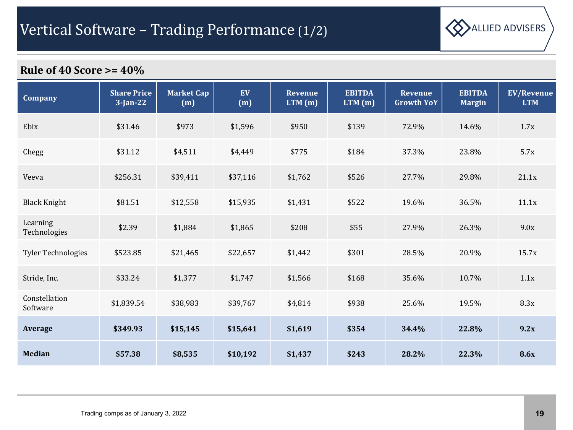

| <b>Company</b>            | <b>Share Price</b><br>$3$ -Jan-22 | <b>Market Cap</b><br>(m) | EV<br>(m) | <b>Revenue</b><br>$LTM$ (m) | <b>EBITDA</b><br>LTM(m) | <b>Revenue</b><br><b>Growth YoY</b> | <b>EBITDA</b><br><b>Margin</b> | <b>EV/Revenue</b><br><b>LTM</b> |
|---------------------------|-----------------------------------|--------------------------|-----------|-----------------------------|-------------------------|-------------------------------------|--------------------------------|---------------------------------|
| Ebix                      | \$31.46                           | \$973                    | \$1,596   | \$950                       | \$139                   | 72.9%                               | 14.6%                          | 1.7x                            |
| Chegg                     | \$31.12                           | \$4,511                  | \$4,449   | \$775                       | \$184                   | 37.3%                               | 23.8%                          | 5.7x                            |
| Veeva                     | \$256.31                          | \$39,411                 | \$37,116  | \$1,762                     | \$526                   | 27.7%                               | 29.8%                          | 21.1x                           |
| <b>Black Knight</b>       | \$81.51                           | \$12,558                 | \$15,935  | \$1,431                     | \$522                   | 19.6%                               | 36.5%                          | 11.1x                           |
| Learning<br>Technologies  | \$2.39                            | \$1,884                  | \$1,865   | \$208                       | \$55                    | 27.9%                               | 26.3%                          | 9.0x                            |
| <b>Tyler Technologies</b> | \$523.85                          | \$21,465                 | \$22,657  | \$1,442                     | \$301                   | 28.5%                               | 20.9%                          | 15.7x                           |
| Stride, Inc.              | \$33.24                           | \$1,377                  | \$1,747   | \$1,566                     | \$168                   | 35.6%                               | 10.7%                          | 1.1x                            |
| Constellation<br>Software | \$1,839.54                        | \$38,983                 | \$39,767  | \$4,814                     | \$938                   | 25.6%                               | 19.5%                          | 8.3x                            |
| Average                   | \$349.93                          | \$15,145                 | \$15,641  | \$1,619                     | \$354                   | 34.4%                               | 22.8%                          | 9.2x                            |
| <b>Median</b>             | \$57.38                           | \$8,535                  | \$10,192  | \$1,437                     | \$243                   | 28.2%                               | 22.3%                          | <b>8.6x</b>                     |